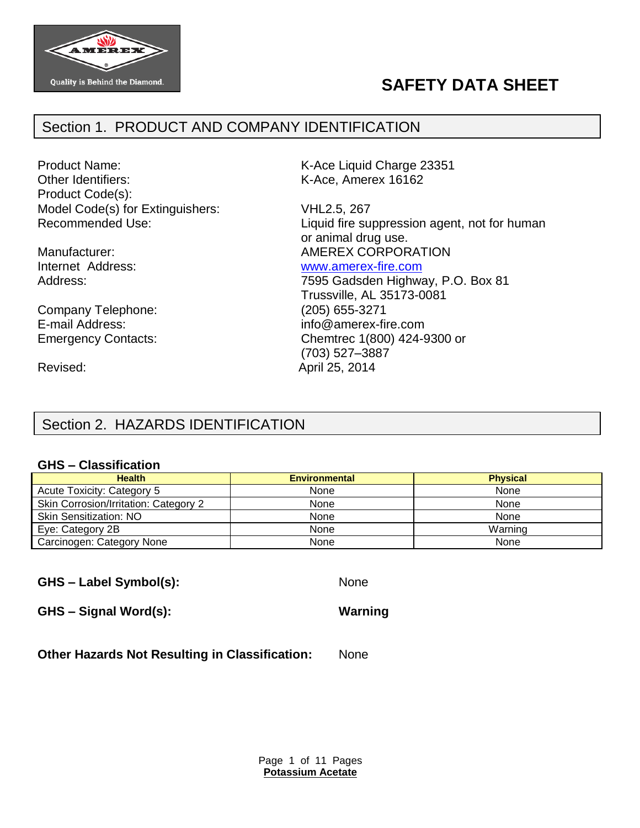

# **SAFETY DATA SHEET**

# Section 1. PRODUCT AND COMPANY IDENTIFICATION

Product Name: The Contract Contract Contract Contract K-Ace Liquid Charge 23351 Other Identifiers: K-Ace, Amerex 16162 Product Code(s): Model Code(s) for Extinguishers: VHL2.5, 267

Company Telephone: (205) 655-3271

Recommended Use: Liquid fire suppression agent, not for human or animal drug use. Manufacturer: Manufacturer: AMEREX CORPORATION Internet Address: [www.amerex-fire.com](http://www.amerex-fire.com/) Address: Mathematic Mathematic Metal Contract 7595 Gadsden Highway, P.O. Box 81

Trussville, AL 35173-0081 E-mail Address: info@amerex-fire.com Emergency Contacts: Chemtrec 1(800) 424-9300 or (703) 527–3887 Revised: April 25, 2014

# Section 2. HAZARDS IDENTIFICATION

### **GHS – Classification**

| <b>Health</b>                         | <b>Environmental</b> | <b>Physical</b> |
|---------------------------------------|----------------------|-----------------|
| Acute Toxicity: Category 5            | None                 | None            |
| Skin Corrosion/Irritation: Category 2 | None                 | None            |
| <b>Skin Sensitization: NO</b>         | None                 | None            |
| Eye: Category 2B                      | None                 | Warning         |
| Carcinogen: Category None             | None                 | None            |

**GHS – Label Symbol(s):** None

**GHS – Signal Word(s): Warning**

**Other Hazards Not Resulting in Classification:** None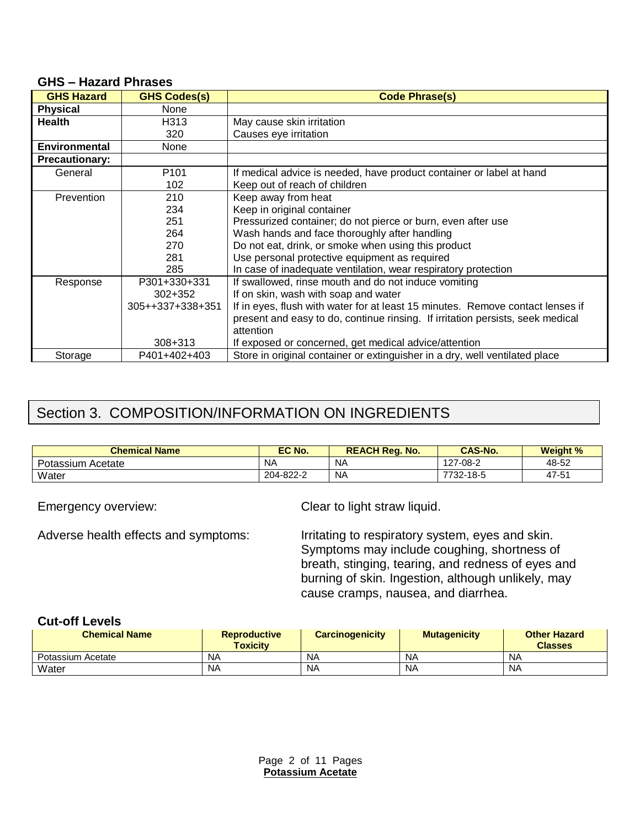#### **GHS – Hazard Phrases**

| <b>GHS Hazard</b>     | <b>GHS Codes(s)</b> | <b>Code Phrase(s)</b>                                                          |
|-----------------------|---------------------|--------------------------------------------------------------------------------|
| <b>Physical</b>       | None                |                                                                                |
| <b>Health</b>         | H313                | May cause skin irritation                                                      |
|                       | 320                 | Causes eye irritation                                                          |
| <b>Environmental</b>  | None                |                                                                                |
| <b>Precautionary:</b> |                     |                                                                                |
| General               | P <sub>101</sub>    | If medical advice is needed, have product container or label at hand           |
|                       | 102                 | Keep out of reach of children                                                  |
| Prevention            | 210                 | Keep away from heat                                                            |
|                       | 234                 | Keep in original container                                                     |
|                       | 251                 | Pressurized container; do not pierce or burn, even after use                   |
|                       | 264                 | Wash hands and face thoroughly after handling                                  |
|                       | 270                 | Do not eat, drink, or smoke when using this product                            |
|                       | 281                 | Use personal protective equipment as required                                  |
|                       | 285                 | In case of inadequate ventilation, wear respiratory protection                 |
| Response              | P301+330+331        | If swallowed, rinse mouth and do not induce vomiting                           |
|                       | $302 + 352$         | If on skin, wash with soap and water                                           |
|                       | 305++337+338+351    | If in eyes, flush with water for at least 15 minutes. Remove contact lenses if |
|                       |                     | present and easy to do, continue rinsing. If irritation persists, seek medical |
|                       |                     | attention                                                                      |
|                       | 308+313             | If exposed or concerned, get medical advice/attention                          |
| Storage               | P401+402+403        | Store in original container or extinguisher in a dry, well ventilated place    |

# Section 3. COMPOSITION/INFORMATION ON INGREDIENTS

| <b>Chemical Name</b> | EC No.    | <b>REACH Reg. No.</b> | <b>CAS-No.</b> | <b>Weight %</b> |
|----------------------|-----------|-----------------------|----------------|-----------------|
| Potassium Acetate    | <b>NA</b> | NΑ                    | 127-08-2       | 48-52           |
| Water                | 204-822-2 | NΑ                    | 7732-18-5      | 47-51           |

Emergency overview: Clear to light straw liquid.

Adverse health effects and symptoms: Irritating to respiratory system, eyes and skin. Symptoms may include coughing, shortness of breath, stinging, tearing, and redness of eyes and burning of skin. Ingestion, although unlikely, may cause cramps, nausea, and diarrhea.

### **Cut-off Levels**

| <b>Chemical Name</b> | <b>Reproductive</b><br><b>Toxicity</b> | <b>Carcinogenicity</b> | <b>Mutagenicity</b> | <b>Other Hazard</b><br><b>Classes</b> |
|----------------------|----------------------------------------|------------------------|---------------------|---------------------------------------|
| Potassium Acetate    | ΝA                                     | <b>NA</b>              | <b>NA</b>           | NA                                    |
| Water                | <b>NA</b>                              | NA                     | <b>NA</b>           | NA                                    |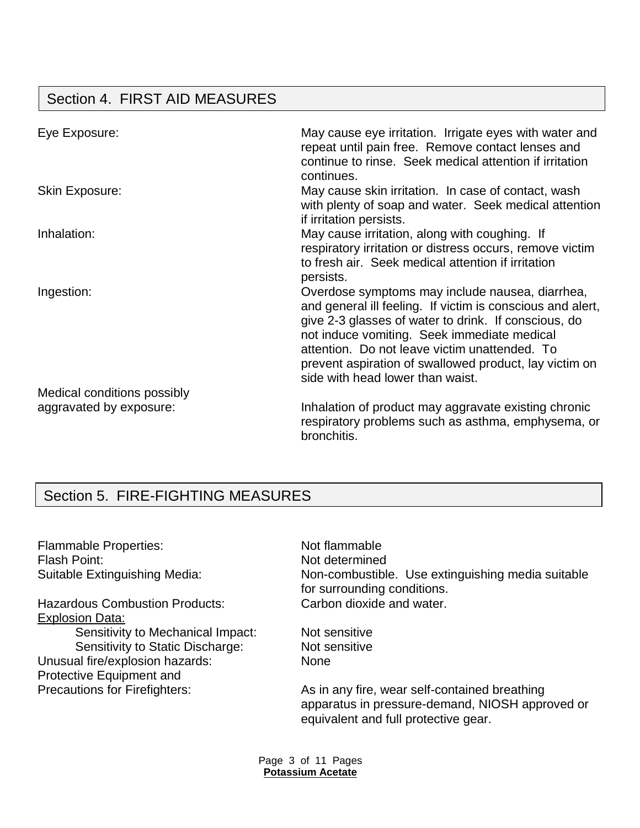# Section 4. FIRST AID MEASURES

| Eye Exposure:               | May cause eye irritation. Irrigate eyes with water and<br>repeat until pain free. Remove contact lenses and<br>continue to rinse. Seek medical attention if irritation<br>continues.                                                                                                                                                                                |
|-----------------------------|---------------------------------------------------------------------------------------------------------------------------------------------------------------------------------------------------------------------------------------------------------------------------------------------------------------------------------------------------------------------|
| <b>Skin Exposure:</b>       | May cause skin irritation. In case of contact, wash<br>with plenty of soap and water. Seek medical attention<br>if irritation persists.                                                                                                                                                                                                                             |
| Inhalation:                 | May cause irritation, along with coughing. If<br>respiratory irritation or distress occurs, remove victim<br>to fresh air. Seek medical attention if irritation<br>persists.                                                                                                                                                                                        |
| Ingestion:                  | Overdose symptoms may include nausea, diarrhea,<br>and general ill feeling. If victim is conscious and alert,<br>give 2-3 glasses of water to drink. If conscious, do<br>not induce vomiting. Seek immediate medical<br>attention. Do not leave victim unattended. To<br>prevent aspiration of swallowed product, lay victim on<br>side with head lower than waist. |
| Medical conditions possibly |                                                                                                                                                                                                                                                                                                                                                                     |
| aggravated by exposure:     | Inhalation of product may aggravate existing chronic<br>respiratory problems such as asthma, emphysema, or<br>bronchitis.                                                                                                                                                                                                                                           |

# Section 5. FIRE-FIGHTING MEASURES

Flammable Properties: Not flammable Flash Point: Not determined

Hazardous Combustion Products: Carbon dioxide and water. Explosion Data: Sensitivity to Mechanical Impact: Not sensitive Sensitivity to Static Discharge: Not sensitive Unusual fire/explosion hazards: None Protective Equipment and

Suitable Extinguishing Media: Non-combustible. Use extinguishing media suitable for surrounding conditions.

Precautions for Firefighters: As in any fire, wear self-contained breathing apparatus in pressure-demand, NIOSH approved or equivalent and full protective gear.

> Page 3 of 11 Pages **Potassium Acetate**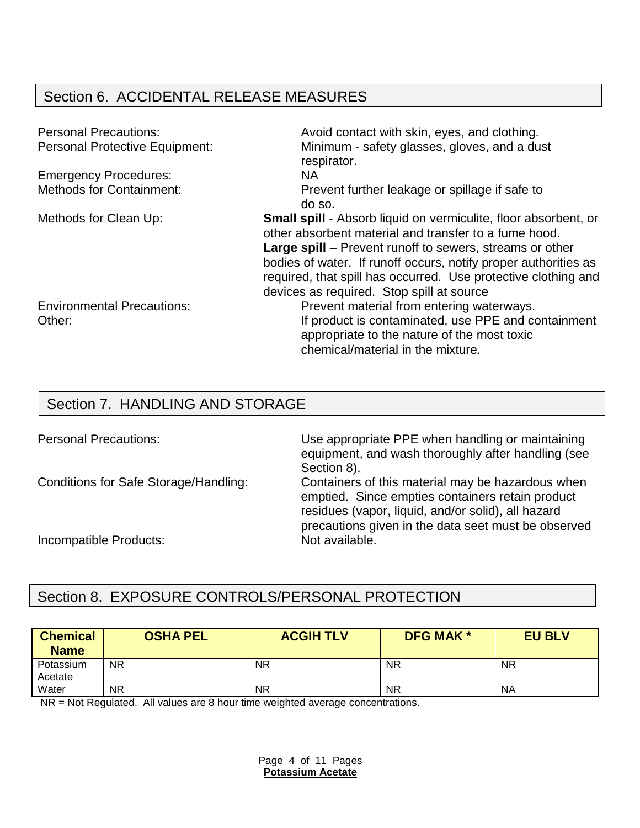# Section 6. ACCIDENTAL RELEASE MEASURES

| <b>Personal Precautions:</b>          | Avoid contact with skin, eyes, and clothing.                                                                                    |
|---------------------------------------|---------------------------------------------------------------------------------------------------------------------------------|
| <b>Personal Protective Equipment:</b> | Minimum - safety glasses, gloves, and a dust                                                                                    |
|                                       | respirator.                                                                                                                     |
| <b>Emergency Procedures:</b>          | <b>NA</b>                                                                                                                       |
| <b>Methods for Containment:</b>       | Prevent further leakage or spillage if safe to                                                                                  |
|                                       | do so.                                                                                                                          |
| Methods for Clean Up:                 | <b>Small spill</b> - Absorb liquid on vermiculite, floor absorbent, or<br>other absorbent material and transfer to a fume hood. |
|                                       | <b>Large spill</b> – Prevent runoff to sewers, streams or other                                                                 |
|                                       | bodies of water. If runoff occurs, notify proper authorities as                                                                 |
|                                       | required, that spill has occurred. Use protective clothing and                                                                  |
|                                       | devices as required. Stop spill at source                                                                                       |
| <b>Environmental Precautions:</b>     | Prevent material from entering waterways.                                                                                       |
| Other:                                | If product is contaminated, use PPE and containment                                                                             |
|                                       | appropriate to the nature of the most toxic                                                                                     |
|                                       | chemical/material in the mixture.                                                                                               |

## Section 7. HANDLING AND STORAGE

Personal Precautions: Use appropriate PPE when handling or maintaining equipment, and wash thoroughly after handling (see Section 8).

Conditions for Safe Storage/Handling: Containers of this material may be hazardous when emptied. Since empties containers retain product residues (vapor, liquid, and/or solid), all hazard precautions given in the data seet must be observed

Incompatible Products: Not available.

## Section 8. EXPOSURE CONTROLS/PERSONAL PROTECTION

| <b>Chemical</b><br><b>Name</b> | <b>OSHA PEL</b> | <b>ACGIH TLV</b> | <b>DFG MAK *</b> | <b>EU BLV</b> |
|--------------------------------|-----------------|------------------|------------------|---------------|
| Potassium<br>Acetate           | <b>NR</b>       | <b>NR</b>        | <b>NR</b>        | <b>NR</b>     |
| Water                          | <b>NR</b>       | <b>NR</b>        | <b>NR</b>        | <b>NA</b>     |

NR = Not Regulated. All values are 8 hour time weighted average concentrations.

Page 4 of 11 Pages **Potassium Acetate**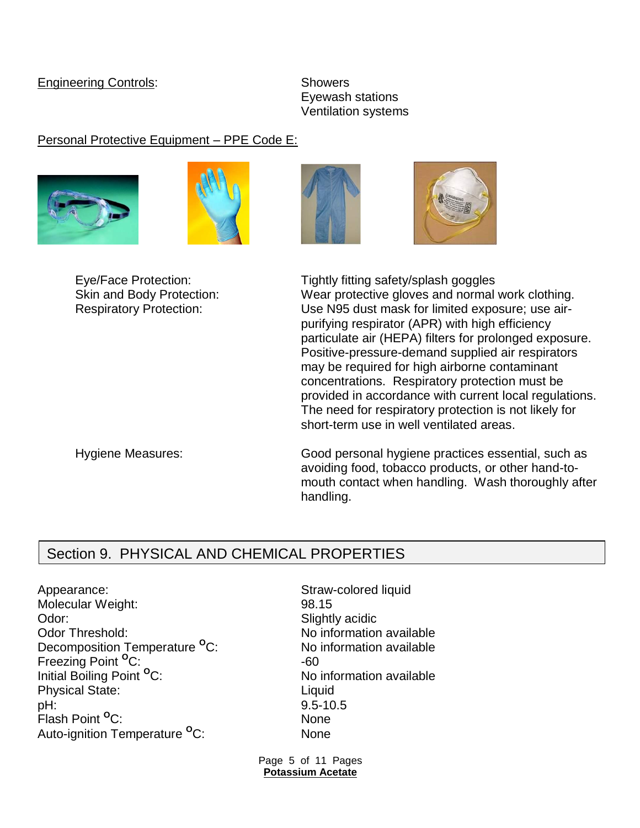### Engineering Controls: Showers

Eyewash stations Ventilation systems

### Personal Protective Equipment – PPE Code E:









Eye/Face Protection: Tightly fitting safety/splash goggles Skin and Body Protection: Wear protective gloves and normal work clothing. Respiratory Protection: Use N95 dust mask for limited exposure; use airpurifying respirator (APR) with high efficiency particulate air (HEPA) filters for prolonged exposure. Positive-pressure-demand supplied air respirators may be required for high airborne contaminant concentrations. Respiratory protection must be provided in accordance with current local regulations. The need for respiratory protection is not likely for short-term use in well ventilated areas.

Hygiene Measures: Good personal hygiene practices essential, such as avoiding food, tobacco products, or other hand-tomouth contact when handling. Wash thoroughly after handling.

## Section 9. PHYSICAL AND CHEMICAL PROPERTIES

Appearance: Straw-colored liquid Molecular Weight: 98.15 Odor: Slightly acidic Color: Odor Threshold: No information available Decomposition Temperature <sup>o</sup>C: No information available Freezing Point <sup>O</sup>C: 400 Freezing Point <sup>O</sup>C: Initial Boiling Point <sup>o</sup>C: No information available Physical State: Liquid pH: 9.5-10.5 Flash Point **<sup>O</sup>**C: None Auto-ignition Temperature **<sup>O</sup>**C: None

Page 5 of 11 Pages **Potassium Acetate**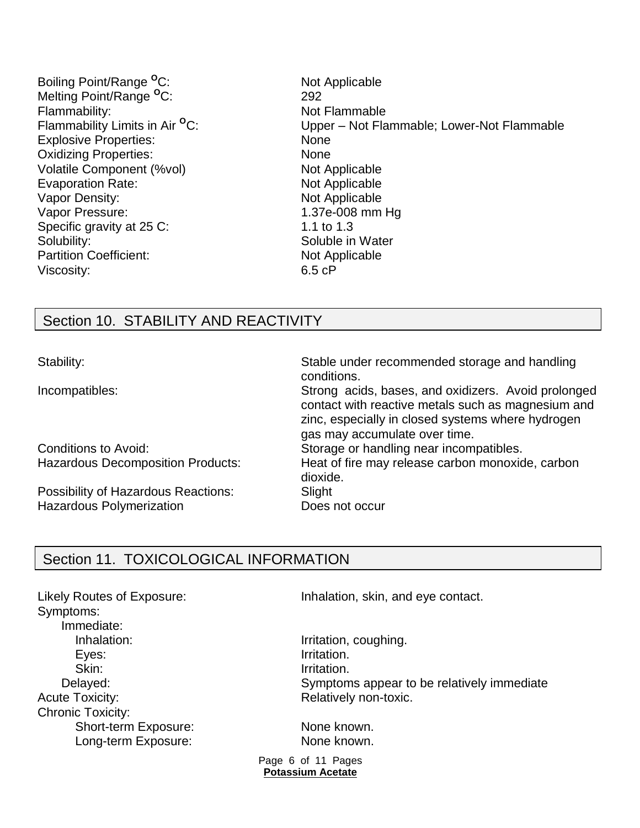Boiling Point/Range <sup>o</sup>C: Not Applicable Melting Point/Range **<sup>O</sup>**C: 292 Flammability: The Contract of the Not Flammable Flammability Limits in Air <sup>o</sup>C: Explosive Properties: None Oxidizing Properties: None Volatile Component (%vol) Not Applicable Evaporation Rate: Not Applicable Vapor Density: Not Applicable Vapor Pressure: 1.37e-008 mm Hg Specific gravity at 25 C: 1.1 to 1.3 Solubility: Soluble in Water Partition Coefficient: Not Applicable Viscosity: 6.5 cP

Upper – Not Flammable; Lower-Not Flammable

## Section 10. STABILITY AND REACTIVITY

Possibility of Hazardous Reactions: Slight Hazardous Polymerization **Does not occur** 

Stability: Stable under recommended storage and handling conditions. Incompatibles: Strong acids, bases, and oxidizers. Avoid prolonged contact with reactive metals such as magnesium and zinc, especially in closed systems where hydrogen gas may accumulate over time. Conditions to Avoid: Storage or handling near incompatibles. Hazardous Decomposition Products: Heat of fire may release carbon monoxide, carbon dioxide.

## Section 11. TOXICOLOGICAL INFORMATION

Symptoms: Immediate: Inhalation: Inhalation, coughing. Eyes: Irritation. Skin: Irritation. Acute Toxicity: Acute Toxicity: Acute Toxicity: Chronic Toxicity: Short-term Exposure: None known. Long-term Exposure: None known.

Likely Routes of Exposure: Inhalation, skin, and eye contact.

Delayed: Symptoms appear to be relatively immediate

Page 6 of 11 Pages **Potassium Acetate**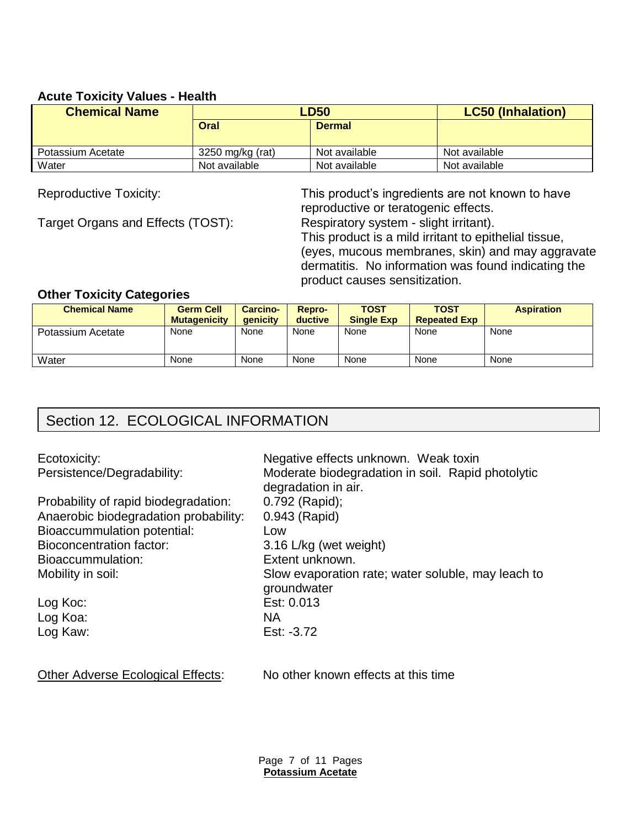### **Acute Toxicity Values - Health**

| <b>Chemical Name</b> | <b>LD50</b>      |               | <b>LC50 (Inhalation)</b> |
|----------------------|------------------|---------------|--------------------------|
|                      | Oral             | <b>Dermal</b> |                          |
| Potassium Acetate    |                  | Not available | Not available            |
|                      | 3250 mg/kg (rat) |               |                          |
| Water                | Not available    | Not available | Not available            |

Target Organs and Effects (TOST): Respiratory system - slight irritant).

Reproductive Toxicity: This product's ingredients are not known to have reproductive or teratogenic effects.

This product is a mild irritant to epithelial tissue, (eyes, mucous membranes, skin) and may aggravate dermatitis. No information was found indicating the product causes sensitization.

### **Other Toxicity Categories**

| <b>Chemical Name</b> | <b>Germ Cell</b><br><b>Mutagenicity</b> | <b>Carcino-</b><br><b>aenicity</b> | Repro-<br>ductive | <b>TOST</b><br><b>Single Exp</b> | TOST<br><b>Repeated Exp</b> | <b>Aspiration</b> |
|----------------------|-----------------------------------------|------------------------------------|-------------------|----------------------------------|-----------------------------|-------------------|
| Potassium Acetate    | None                                    | None                               | None              | None                             | None                        | None              |
| Water                | None                                    | None                               | None              | None                             | None                        | None              |

# Section 12. ECOLOGICAL INFORMATION

Probability of rapid biodegradation: 0.792 (Rapid); Anaerobic biodegradation probability: 0.943 (Rapid) Bioaccummulation potential: Low Bioconcentration factor: 3.16 L/kg (wet weight) Bioaccummulation: Extent unknown.

Log Koa: NA

Ecotoxicity: Ecotoxicity: Ecotoxicity: Negative effects unknown. Weak toxin Persistence/Degradability: Moderate biodegradation in soil. Rapid photolytic degradation in air. Mobility in soil: Slow evaporation rate; water soluble, may leach to groundwater Log Koc: Est: 0.013 Log Kaw: Est: -3.72

Other Adverse Ecological Effects: No other known effects at this time

Page 7 of 11 Pages **Potassium Acetate**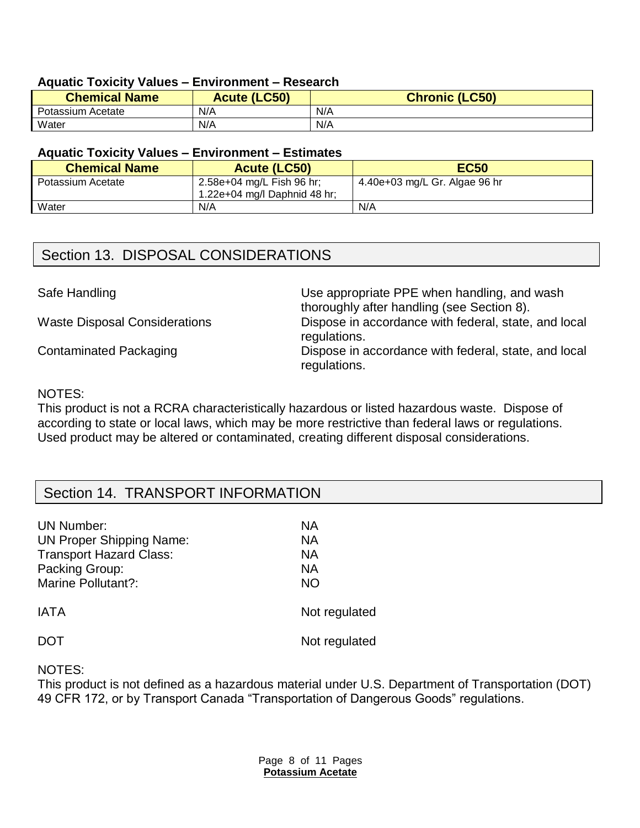### **Aquatic Toxicity Values – Environment – Research**

| <b>Chemical Name</b> | <b>Acute (LC50)</b> | <b>Chronic (LC50)</b> |
|----------------------|---------------------|-----------------------|
| Potassium Acetate    | N/A                 | N/A                   |
| Water                | N/A                 | N/A                   |

### **Aquatic Toxicity Values – Environment – Estimates**

| <b>Chemical Name</b> | <b>Acute (LC50)</b>                                       | <b>EC50</b>                   |
|----------------------|-----------------------------------------------------------|-------------------------------|
| Potassium Acetate    | 2.58e+04 mg/L Fish 96 hr;<br>1.22e+04 mg/l Daphnid 48 hr; | 4.40e+03 mg/L Gr. Algae 96 hr |
| Water                | N/A                                                       | N/A                           |

## Section 13. DISPOSAL CONSIDERATIONS

Safe Handling **EXECUTE:** Use appropriate PPE when handling, and wash thoroughly after handling (see Section 8). Waste Disposal Considerations Dispose in accordance with federal, state, and local regulations. Contaminated Packaging **Dispose** in accordance with federal, state, and local regulations.

### NOTES:

This product is not a RCRA characteristically hazardous or listed hazardous waste. Dispose of according to state or local laws, which may be more restrictive than federal laws or regulations. Used product may be altered or contaminated, creating different disposal considerations.

## Section 14. TRANSPORT INFORMATION

| <b>UN Number:</b>               | NА            |
|---------------------------------|---------------|
| <b>UN Proper Shipping Name:</b> | NА            |
| <b>Transport Hazard Class:</b>  | NА            |
| Packing Group:                  | NА            |
| <b>Marine Pollutant?:</b>       | <b>NO</b>     |
| <b>IATA</b>                     | Not regulated |
|                                 | Not regulated |

NOTES:

This product is not defined as a hazardous material under U.S. Department of Transportation (DOT) 49 CFR 172, or by Transport Canada "Transportation of Dangerous Goods" regulations.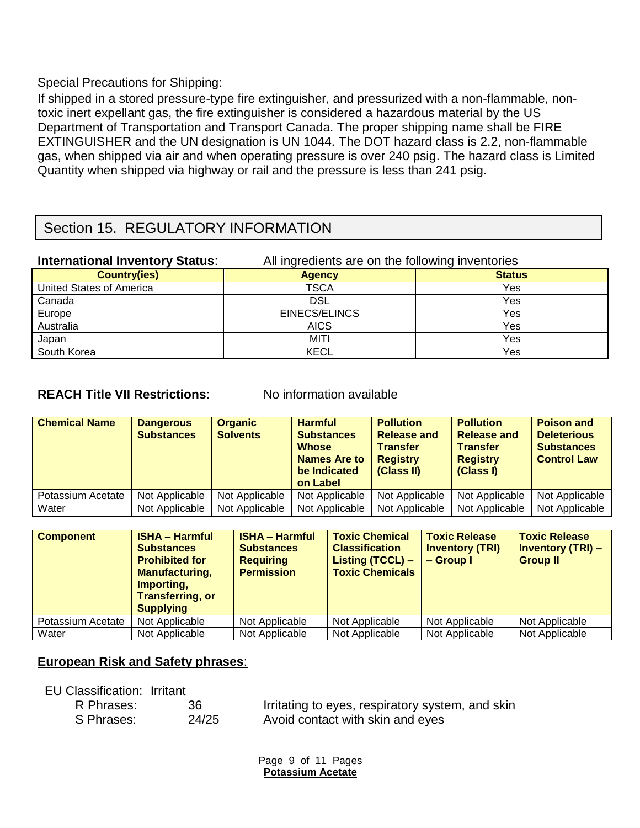Special Precautions for Shipping:

If shipped in a stored pressure-type fire extinguisher, and pressurized with a non-flammable, nontoxic inert expellant gas, the fire extinguisher is considered a hazardous material by the US Department of Transportation and Transport Canada. The proper shipping name shall be FIRE EXTINGUISHER and the UN designation is UN 1044. The DOT hazard class is 2.2, non-flammable gas, when shipped via air and when operating pressure is over 240 psig. The hazard class is Limited Quantity when shipped via highway or rail and the pressure is less than 241 psig.

## Section 15. REGULATORY INFORMATION

| <b>International Inventory Status:</b> | All ingredients are on the following inventories |               |  |
|----------------------------------------|--------------------------------------------------|---------------|--|
| <b>Country(ies)</b>                    | Agency                                           | <b>Status</b> |  |
| United States of America               | <b>TSCA</b>                                      | Yes           |  |
| Canada                                 | <b>DSL</b>                                       | Yes           |  |
| Europe                                 | EINECS/ELINCS                                    | Yes           |  |
| Australia                              | <b>AICS</b>                                      | Yes           |  |
| Japan                                  | MITI                                             | Yes           |  |
| South Korea                            | KECL                                             | Yes           |  |

### **REACH Title VII Restrictions:** No information available

| <b>Chemical Name</b> | <b>Dangerous</b><br><b>Substances</b> | <b>Organic</b><br><b>Solvents</b> | <b>Harmful</b><br><b>Substances</b><br><b>Whose</b><br><b>Names Are to</b><br>be Indicated<br>on Label | <b>Pollution</b><br><b>Release and</b><br><b>Transfer</b><br><b>Registry</b><br>(Class II) | <b>Pollution</b><br><b>Release and</b><br><b>Transfer</b><br><b>Registry</b><br>(Class I) | <b>Poison and</b><br><b>Deleterious</b><br><b>Substances</b><br><b>Control Law</b> |
|----------------------|---------------------------------------|-----------------------------------|--------------------------------------------------------------------------------------------------------|--------------------------------------------------------------------------------------------|-------------------------------------------------------------------------------------------|------------------------------------------------------------------------------------|
| Potassium Acetate    | Not Applicable                        | Not Applicable                    | Not Applicable                                                                                         | Not Applicable                                                                             | Not Applicable                                                                            | Not Applicable                                                                     |
| Water                | Not Applicable                        | Not Applicable                    | Not Applicable                                                                                         | Not Applicable                                                                             | Not Applicable                                                                            | Not Applicable                                                                     |

| <b>Component</b>  | <b>ISHA - Harmful</b><br><b>Substances</b><br><b>Prohibited for</b><br><b>Manufacturing,</b><br>Importing,<br><b>Transferring, or</b><br><b>Supplying</b> | <b>ISHA - Harmful</b><br><b>Substances</b><br><b>Requiring</b><br><b>Permission</b> | <b>Toxic Chemical</b><br><b>Classification</b><br>Listing $(TCCL)$ –<br><b>Toxic Chemicals</b> | <b>Toxic Release</b><br><b>Inventory (TRI)</b><br>$-$ Group I | <b>Toxic Release</b><br><b>Inventory (TRI) -</b><br><b>Group II</b> |
|-------------------|-----------------------------------------------------------------------------------------------------------------------------------------------------------|-------------------------------------------------------------------------------------|------------------------------------------------------------------------------------------------|---------------------------------------------------------------|---------------------------------------------------------------------|
| Potassium Acetate | Not Applicable                                                                                                                                            | Not Applicable                                                                      | Not Applicable                                                                                 | Not Applicable                                                | Not Applicable                                                      |
| Water             | Not Applicable                                                                                                                                            | Not Applicable                                                                      | Not Applicable                                                                                 | Not Applicable                                                | Not Applicable                                                      |

### **European Risk and Safety phrases**:

| EU Classification: Irritant |       |                                                  |
|-----------------------------|-------|--------------------------------------------------|
| R Phrases:                  | 36    | Irritating to eyes, respiratory system, and skin |
| S Phrases:                  | 24/25 | Avoid contact with skin and eyes                 |

Page 9 of 11 Pages **Potassium Acetate**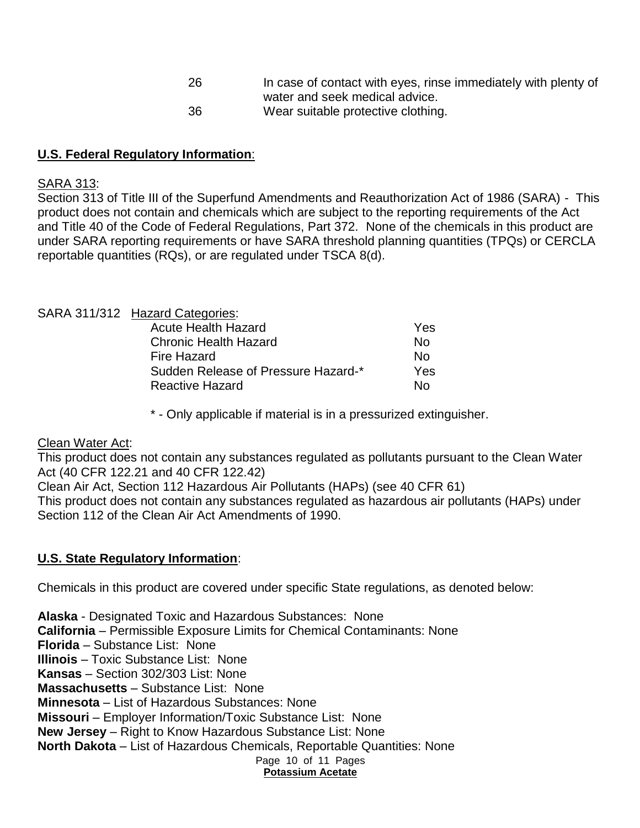26 In case of contact with eyes, rinse immediately with plenty of water and seek medical advice. 36 Wear suitable protective clothing.

## **U.S. Federal Regulatory Information**:

### SARA 313:

Section 313 of Title III of the Superfund Amendments and Reauthorization Act of 1986 (SARA) - This product does not contain and chemicals which are subject to the reporting requirements of the Act and Title 40 of the Code of Federal Regulations, Part 372. None of the chemicals in this product are under SARA reporting requirements or have SARA threshold planning quantities (TPQs) or CERCLA reportable quantities (RQs), or are regulated under TSCA 8(d).

### SARA 311/312 Hazard Categories:

| Acute Health Hazard                 | Yes |
|-------------------------------------|-----|
| Chronic Health Hazard               | Nο  |
| Fire Hazard                         | N∩  |
| Sudden Release of Pressure Hazard-* | Yes |
| <b>Reactive Hazard</b>              | N∩  |
|                                     |     |

\* - Only applicable if material is in a pressurized extinguisher.

#### Clean Water Act:

This product does not contain any substances regulated as pollutants pursuant to the Clean Water Act (40 CFR 122.21 and 40 CFR 122.42)

Clean Air Act, Section 112 Hazardous Air Pollutants (HAPs) (see 40 CFR 61)

This product does not contain any substances regulated as hazardous air pollutants (HAPs) under Section 112 of the Clean Air Act Amendments of 1990.

### **U.S. State Regulatory Information**:

Chemicals in this product are covered under specific State regulations, as denoted below:

Page 10 of 11 Pages **Alaska** - Designated Toxic and Hazardous Substances: None **California** – Permissible Exposure Limits for Chemical Contaminants: None **Florida** – Substance List: None **Illinois** – Toxic Substance List: None **Kansas** – Section 302/303 List: None **Massachusetts** – Substance List: None **Minnesota** – List of Hazardous Substances: None **Missouri** – Employer Information/Toxic Substance List: None **New Jersey** – Right to Know Hazardous Substance List: None **North Dakota** – List of Hazardous Chemicals, Reportable Quantities: None

### **Potassium Acetate**